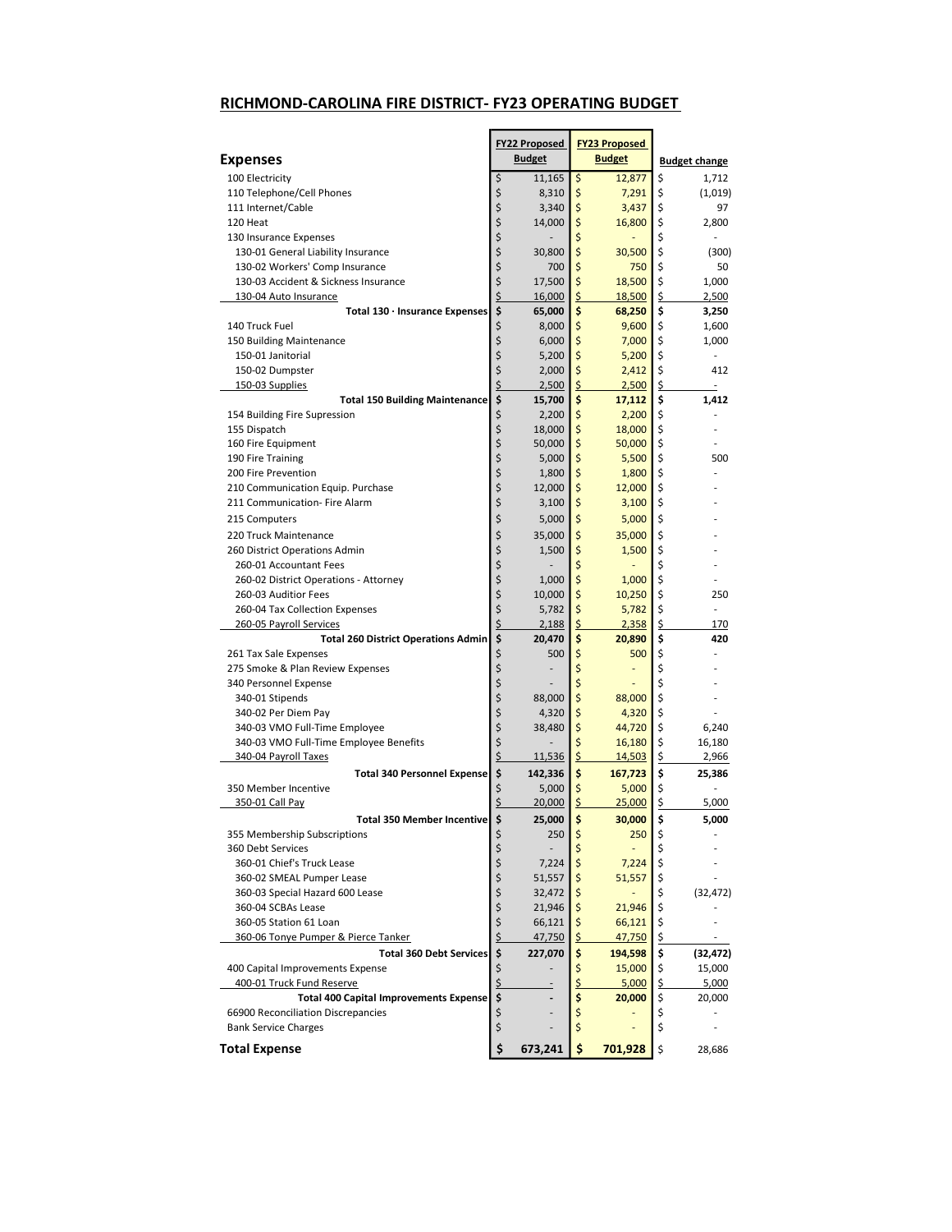## RICHMOND-CAROLINA FIRE DISTRICT- FY23 OPERATING BUDGET

|                                                                                     |          | <b>FY22 Proposed</b> |         | <b>FY23 Proposed</b> |          |                      |
|-------------------------------------------------------------------------------------|----------|----------------------|---------|----------------------|----------|----------------------|
| <b>Expenses</b>                                                                     |          | <b>Budget</b>        |         | <b>Budget</b>        |          | <b>Budget change</b> |
| 100 Electricity                                                                     | \$       | 11,165               | \$      | 12,877               | \$       | 1,712                |
| 110 Telephone/Cell Phones                                                           | \$       | 8,310                | \$      | 7,291                | \$       | (1,019)              |
| 111 Internet/Cable                                                                  | \$       | 3,340                | \$      | 3,437                | \$       | 97                   |
| 120 Heat                                                                            | \$       | 14,000               | \$      | 16,800               | \$       | 2,800                |
| 130 Insurance Expenses                                                              | \$       |                      | \$      |                      | \$       |                      |
| 130-01 General Liability Insurance                                                  | \$       | 30,800               | \$      | 30,500               | \$       | (300)                |
| 130-02 Workers' Comp Insurance                                                      | \$       | 700                  | \$      | 750                  | \$       | 50                   |
| 130-03 Accident & Sickness Insurance                                                | \$       | 17,500               | \$      | 18,500               | \$       | 1,000                |
| 130-04 Auto Insurance                                                               | \$       | 16,000               | \$      | 18,500               | \$       | 2,500                |
| Total $130 \cdot$ Insurance Expenses                                                | \$       | 65,000               | \$      | 68,250               | \$       | 3,250                |
| 140 Truck Fuel                                                                      | \$       | 8,000                | \$      | 9,600                | \$       | 1,600                |
| 150 Building Maintenance                                                            | \$       | 6,000                | \$      | 7,000                | \$       | 1,000                |
| 150-01 Janitorial                                                                   | \$       | 5,200                | \$      | 5,200                | \$       | ä,                   |
| 150-02 Dumpster                                                                     | \$       | 2,000                | \$      | 2,412                | \$       | 412                  |
| 150-03 Supplies                                                                     | \$       | 2,500                | \$      | 2,500                | \$       |                      |
| <b>Total 150 Building Maintenance</b>                                               | \$       | 15,700               | \$      | 17,112               | \$       | 1,412                |
| 154 Building Fire Supression                                                        | \$       | 2,200                | \$      | 2,200                | \$       |                      |
| 155 Dispatch                                                                        | \$       | 18,000               | \$      | 18,000               | \$       |                      |
| 160 Fire Equipment                                                                  | \$       | 50,000               | \$      | 50,000               | \$       |                      |
| 190 Fire Training                                                                   | \$       | 5,000                | \$      | 5,500                | \$       | 500                  |
| 200 Fire Prevention                                                                 | \$       | 1,800                | \$      | 1,800                | \$       |                      |
| 210 Communication Equip. Purchase                                                   | \$       | 12,000               | \$      | 12,000               | \$       |                      |
| 211 Communication- Fire Alarm                                                       | \$       | 3,100                | \$      | 3,100                | \$       |                      |
| 215 Computers                                                                       | \$       | 5,000                | \$      | 5,000                | \$       |                      |
| 220 Truck Maintenance                                                               | \$       | 35,000               | \$      | 35,000               | \$       |                      |
| 260 District Operations Admin                                                       | \$       | 1,500                | \$      | 1,500                | \$       |                      |
| 260-01 Accountant Fees                                                              | \$       |                      | \$      |                      | \$       |                      |
| 260-02 District Operations - Attorney                                               | \$       | 1,000                | \$      | 1,000                | \$       |                      |
| 260-03 Auditior Fees                                                                | \$       | 10,000               | \$      | 10,250               | \$       | 250                  |
| 260-04 Tax Collection Expenses                                                      | \$       | 5,782                | \$      | 5,782                | \$       |                      |
| 260-05 Payroll Services                                                             | \$       | 2,188                | \$      | 2,358                | \$       | 170                  |
| <b>Total 260 District Operations Admin</b>                                          | \$       | 20,470               | \$      | 20,890               | \$       | 420                  |
| 261 Tax Sale Expenses                                                               | \$       | 500                  | \$      | 500                  | \$       |                      |
| 275 Smoke & Plan Review Expenses                                                    | \$       |                      | \$      |                      | \$       |                      |
| 340 Personnel Expense                                                               | \$       |                      | \$      |                      | \$       |                      |
| 340-01 Stipends                                                                     | \$       | 88,000               | \$      | 88,000               | \$       |                      |
| 340-02 Per Diem Pay                                                                 | \$       | 4,320                | \$      | 4,320                | \$       |                      |
| 340-03 VMO Full-Time Employee                                                       | \$       | 38,480               | \$      | 44,720               | \$       | 6,240                |
| 340-03 VMO Full-Time Employee Benefits                                              | \$       |                      | \$      | 16,180               | \$       | 16,180               |
| 340-04 Payroll Taxes                                                                | \$       | <u>11,536</u>        | \$      | 14,503               | \$       | 2,966                |
| <b>Total 340 Personnel Expense</b>                                                  | \$       | 142,336              | \$      | 167,723              | \$       | 25,386               |
| 350 Member Incentive                                                                | \$       | 5,000                | \$      | 5,000                | \$       |                      |
| 350-01 Call Pay                                                                     | \$       | 20,000               | \$      | 25,000               | \$       | 5,000                |
| <b>Total 350 Member Incentivel</b>                                                  | \$       |                      | \$      | 30,000               | \$       |                      |
|                                                                                     |          | 25,000               |         |                      |          | 5,000                |
| 355 Membership Subscriptions<br>360 Debt Services                                   | \$       | 250                  | Ş<br>\$ | 250                  | Ş<br>\$  |                      |
| 360-01 Chief's Truck Lease                                                          | \$       |                      | \$      |                      |          |                      |
| 360-02 SMEAL Pumper Lease                                                           | \$<br>\$ | 7,224                |         | 7,224                | \$       |                      |
|                                                                                     |          | 51,557               | \$      | 51,557               | \$<br>\$ |                      |
| 360-03 Special Hazard 600 Lease                                                     | \$<br>\$ | 32,472               | \$      |                      |          | (32, 472)            |
| 360-04 SCBAs Lease<br>360-05 Station 61 Loan                                        | \$       | 21,946               | \$      | 21,946               | \$       |                      |
| 360-06 Tonye Pumper & Pierce Tanker                                                 | \$       | 66,121               | \$      | 66,121               | \$       |                      |
|                                                                                     |          | <u>47,750</u>        | \$      | 47,750               | \$       |                      |
| <b>Total 360 Debt Services</b>                                                      | \$       | 227,070              | \$      | 194,598              | \$       | (32,472)             |
| 400 Capital Improvements Expense                                                    | \$       |                      | \$      | 15,000               | \$       | 15,000               |
| 400-01 Truck Fund Reserve                                                           | \$       |                      | \$      | 5,000                | \$       | 5,000                |
| <b>Total 400 Capital Improvements Expense</b><br>66900 Reconciliation Discrepancies | \$       |                      | \$      | 20,000               | \$       | 20,000               |
|                                                                                     | \$       |                      | \$      |                      | \$       |                      |
| <b>Bank Service Charges</b>                                                         | \$       |                      | \$      |                      | \$       |                      |
| <b>Total Expense</b>                                                                | \$       | 673,241              | \$      | 701,928              | \$       | 28,686               |